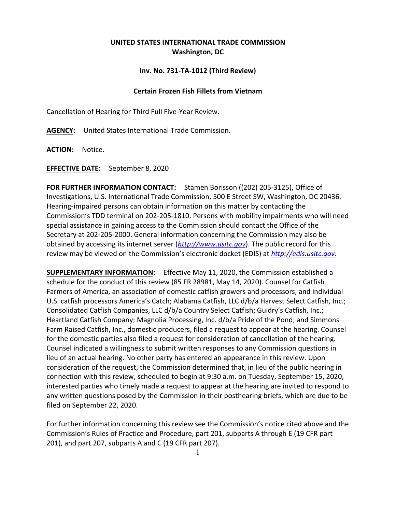## **UNITED STATES INTERNATIONAL TRADE COMMISSION Washington, DC**

## **Inv. No. 731-TA-1012 (Third Review)**

## **Certain Frozen Fish Fillets from Vietnam**

Cancellation of Hearing for Third Full Five-Year Review.

**AGENCY:** United States International Trade Commission.

**ACTION:** Notice.

**EFFECTIVE DATE:** September 8, 2020

**FOR FURTHER INFORMATION CONTACT:** Stamen Borisson ((202) 205-3125), Office of Investigations, U.S. International Trade Commission, 500 E Street SW, Washington, DC 20436. Hearing-impaired persons can obtain information on this matter by contacting the Commission's TDD terminal on 202-205-1810. Persons with mobility impairments who will need special assistance in gaining access to the Commission should contact the Office of the Secretary at 202-205-2000. General information concerning the Commission may also be obtained by accessing its internet server (*[http://www.usitc.gov](http://www.usitc.gov/)*). The public record for this review may be viewed on the Commission's electronic docket (EDIS) at *[http://edis.usitc.gov](http://edis.usitc.gov/)*.

**SUPPLEMENTARY INFORMATION:** Effective May 11, 2020, the Commission established a schedule for the conduct of this review (85 FR 28981, May 14, 2020). Counsel for Catfish Farmers of America, an association of domestic catfish growers and processors, and individual U.S. catfish processors America's Catch; Alabama Catfish, LLC d/b/a Harvest Select Catfish, Inc.; Consolidated Catfish Companies, LLC d/b/a Country Select Catfish; Guidry's Catfish, Inc.; Heartland Catfish Company; Magnolia Processing, Inc. d/b/a Pride of the Pond; and Simmons Farm Raised Catfish, Inc., domestic producers, filed a request to appear at the hearing. Counsel for the domestic parties also filed a request for consideration of cancellation of the hearing. Counsel indicated a willingness to submit written responses to any Commission questions in lieu of an actual hearing. No other party has entered an appearance in this review. Upon consideration of the request, the Commission determined that, in lieu of the public hearing in connection with this review, scheduled to begin at 9:30 a.m. on Tuesday, September 15, 2020, interested parties who timely made a request to appear at the hearing are invited to respond to any written questions posed by the Commission in their posthearing briefs, which are due to be filed on September 22, 2020.

For further information concerning this review see the Commission's notice cited above and the Commission's Rules of Practice and Procedure, part 201, subparts A through E (19 CFR part 201), and part 207, subparts A and C (19 CFR part 207).